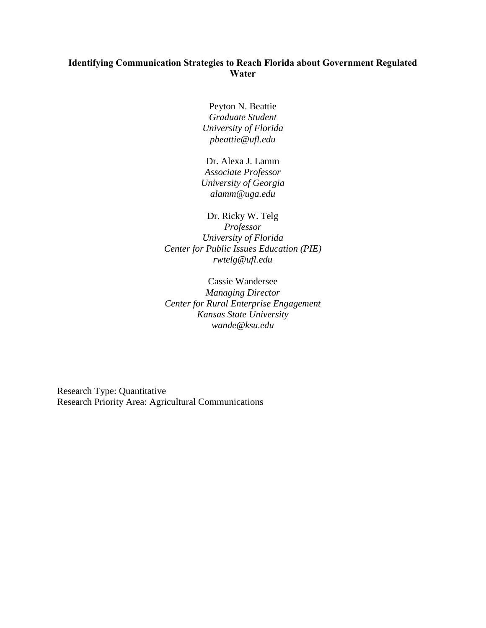# **Identifying Communication Strategies to Reach Florida about Government Regulated Water**

Peyton N. Beattie *Graduate Student University of Florida pbeattie@ufl.edu*

Dr. Alexa J. Lamm *Associate Professor University of Georgia alamm@uga.edu*

Dr. Ricky W. Telg *Professor University of Florida Center for Public Issues Education (PIE) rwtelg@ufl.edu*

Cassie Wandersee *Managing Director Center for Rural Enterprise Engagement Kansas State University wande@ksu.edu*

Research Type: Quantitative Research Priority Area: Agricultural Communications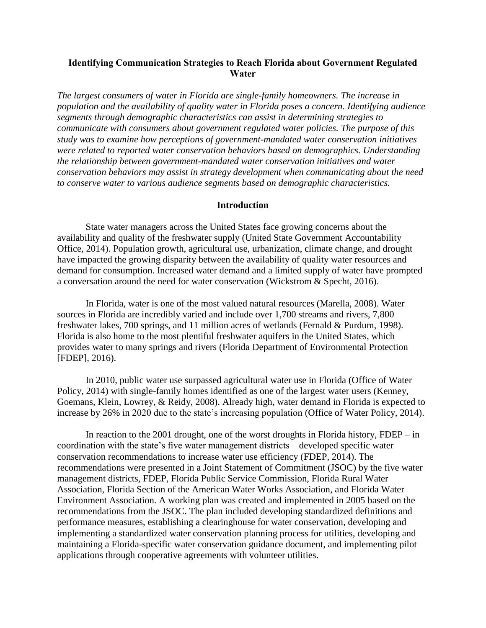## **Identifying Communication Strategies to Reach Florida about Government Regulated Water**

*The largest consumers of water in Florida are single-family homeowners. The increase in population and the availability of quality water in Florida poses a concern. Identifying audience segments through demographic characteristics can assist in determining strategies to communicate with consumers about government regulated water policies. The purpose of this study was to examine how perceptions of government-mandated water conservation initiatives were related to reported water conservation behaviors based on demographics. Understanding the relationship between government-mandated water conservation initiatives and water conservation behaviors may assist in strategy development when communicating about the need to conserve water to various audience segments based on demographic characteristics.*

### **Introduction**

State water managers across the United States face growing concerns about the availability and quality of the freshwater supply (United State Government Accountability Office, 2014). Population growth, agricultural use, urbanization, climate change, and drought have impacted the growing disparity between the availability of quality water resources and demand for consumption. Increased water demand and a limited supply of water have prompted a conversation around the need for water conservation (Wickstrom & Specht, 2016).

In Florida, water is one of the most valued natural resources (Marella, 2008). Water sources in Florida are incredibly varied and include over 1,700 streams and rivers, 7,800 freshwater lakes, 700 springs, and 11 million acres of wetlands (Fernald & Purdum, 1998). Florida is also home to the most plentiful freshwater aquifers in the United States, which provides water to many springs and rivers (Florida Department of Environmental Protection [FDEP], 2016).

In 2010, public water use surpassed agricultural water use in Florida (Office of Water Policy, 2014) with single-family homes identified as one of the largest water users (Kenney, Goemans, Klein, Lowrey, & Reidy, 2008). Already high, water demand in Florida is expected to increase by 26% in 2020 due to the state's increasing population (Office of Water Policy, 2014).

In reaction to the 2001 drought, one of the worst droughts in Florida history, FDEP – in coordination with the state's five water management districts – developed specific water conservation recommendations to increase water use efficiency (FDEP, 2014). The recommendations were presented in a Joint Statement of Commitment (JSOC) by the five water management districts, FDEP, Florida Public Service Commission, Florida Rural Water Association, Florida Section of the American Water Works Association, and Florida Water Environment Association. A working plan was created and implemented in 2005 based on the recommendations from the JSOC. The plan included developing standardized definitions and performance measures, establishing a clearinghouse for water conservation, developing and implementing a standardized water conservation planning process for utilities, developing and maintaining a Florida-specific water conservation guidance document, and implementing pilot applications through cooperative agreements with volunteer utilities.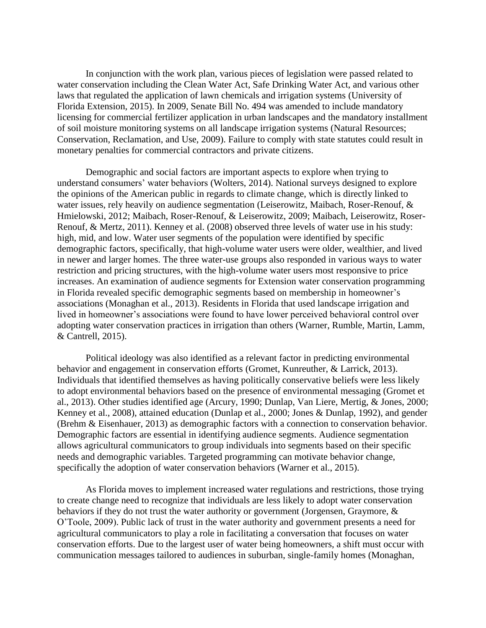In conjunction with the work plan, various pieces of legislation were passed related to water conservation including the Clean Water Act, Safe Drinking Water Act, and various other laws that regulated the application of lawn chemicals and irrigation systems (University of Florida Extension, 2015). In 2009, Senate Bill No. 494 was amended to include mandatory licensing for commercial fertilizer application in urban landscapes and the mandatory installment of soil moisture monitoring systems on all landscape irrigation systems (Natural Resources; Conservation, Reclamation, and Use, 2009). Failure to comply with state statutes could result in monetary penalties for commercial contractors and private citizens.

Demographic and social factors are important aspects to explore when trying to understand consumers' water behaviors (Wolters, 2014). National surveys designed to explore the opinions of the American public in regards to climate change, which is directly linked to water issues, rely heavily on audience segmentation (Leiserowitz, Maibach, Roser-Renouf, & Hmielowski, 2012; Maibach, Roser-Renouf, & Leiserowitz, 2009; Maibach, Leiserowitz, Roser-Renouf, & Mertz, 2011). Kenney et al. (2008) observed three levels of water use in his study: high, mid, and low. Water user segments of the population were identified by specific demographic factors, specifically, that high-volume water users were older, wealthier, and lived in newer and larger homes. The three water-use groups also responded in various ways to water restriction and pricing structures, with the high-volume water users most responsive to price increases. An examination of audience segments for Extension water conservation programming in Florida revealed specific demographic segments based on membership in homeowner's associations (Monaghan et al., 2013). Residents in Florida that used landscape irrigation and lived in homeowner's associations were found to have lower perceived behavioral control over adopting water conservation practices in irrigation than others (Warner, Rumble, Martin, Lamm, & Cantrell, 2015).

Political ideology was also identified as a relevant factor in predicting environmental behavior and engagement in conservation efforts (Gromet, Kunreuther, & Larrick, 2013). Individuals that identified themselves as having politically conservative beliefs were less likely to adopt environmental behaviors based on the presence of environmental messaging (Gromet et al., 2013). Other studies identified age (Arcury, 1990; Dunlap, Van Liere, Mertig, & Jones, 2000; Kenney et al., 2008), attained education (Dunlap et al., 2000; Jones & Dunlap, 1992), and gender (Brehm & Eisenhauer, 2013) as demographic factors with a connection to conservation behavior. Demographic factors are essential in identifying audience segments. Audience segmentation allows agricultural communicators to group individuals into segments based on their specific needs and demographic variables. Targeted programming can motivate behavior change, specifically the adoption of water conservation behaviors (Warner et al., 2015).

As Florida moves to implement increased water regulations and restrictions, those trying to create change need to recognize that individuals are less likely to adopt water conservation behaviors if they do not trust the water authority or government (Jorgensen, Graymore, & O'Toole, 2009). Public lack of trust in the water authority and government presents a need for agricultural communicators to play a role in facilitating a conversation that focuses on water conservation efforts. Due to the largest user of water being homeowners, a shift must occur with communication messages tailored to audiences in suburban, single-family homes (Monaghan,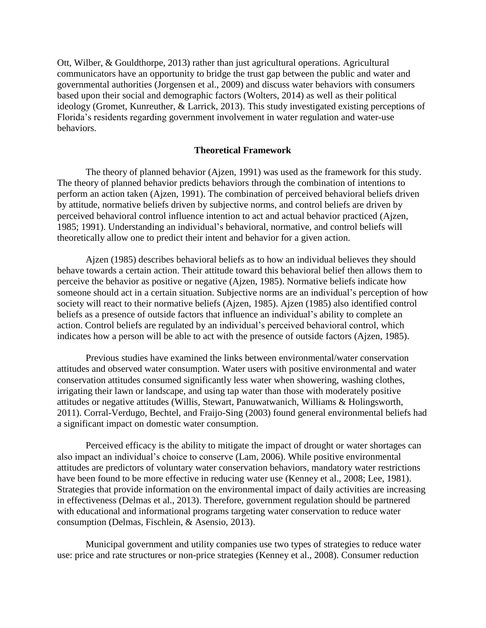Ott, Wilber, & Gouldthorpe, 2013) rather than just agricultural operations. Agricultural communicators have an opportunity to bridge the trust gap between the public and water and governmental authorities (Jorgensen et al., 2009) and discuss water behaviors with consumers based upon their social and demographic factors (Wolters, 2014) as well as their political ideology (Gromet, Kunreuther, & Larrick, 2013). This study investigated existing perceptions of Florida's residents regarding government involvement in water regulation and water-use behaviors.

### **Theoretical Framework**

The theory of planned behavior (Ajzen, 1991) was used as the framework for this study. The theory of planned behavior predicts behaviors through the combination of intentions to perform an action taken (Ajzen, 1991). The combination of perceived behavioral beliefs driven by attitude, normative beliefs driven by subjective norms, and control beliefs are driven by perceived behavioral control influence intention to act and actual behavior practiced (Ajzen, 1985; 1991). Understanding an individual's behavioral, normative, and control beliefs will theoretically allow one to predict their intent and behavior for a given action.

Ajzen (1985) describes behavioral beliefs as to how an individual believes they should behave towards a certain action. Their attitude toward this behavioral belief then allows them to perceive the behavior as positive or negative (Ajzen, 1985). Normative beliefs indicate how someone should act in a certain situation. Subjective norms are an individual's perception of how society will react to their normative beliefs (Ajzen, 1985). Ajzen (1985) also identified control beliefs as a presence of outside factors that influence an individual's ability to complete an action. Control beliefs are regulated by an individual's perceived behavioral control, which indicates how a person will be able to act with the presence of outside factors (Ajzen, 1985).

Previous studies have examined the links between environmental/water conservation attitudes and observed water consumption. Water users with positive environmental and water conservation attitudes consumed significantly less water when showering, washing clothes, irrigating their lawn or landscape, and using tap water than those with moderately positive attitudes or negative attitudes (Willis, Stewart, Panuwatwanich, Williams & Holingsworth, 2011). Corral-Verdugo, Bechtel, and Fraijo-Sing (2003) found general environmental beliefs had a significant impact on domestic water consumption.

Perceived efficacy is the ability to mitigate the impact of drought or water shortages can also impact an individual's choice to conserve (Lam, 2006). While positive environmental attitudes are predictors of voluntary water conservation behaviors, mandatory water restrictions have been found to be more effective in reducing water use (Kenney et al., 2008; Lee, 1981). Strategies that provide information on the environmental impact of daily activities are increasing in effectiveness (Delmas et al., 2013). Therefore, government regulation should be partnered with educational and informational programs targeting water conservation to reduce water consumption (Delmas, Fischlein, & Asensio, 2013).

Municipal government and utility companies use two types of strategies to reduce water use: price and rate structures or non-price strategies (Kenney et al., 2008). Consumer reduction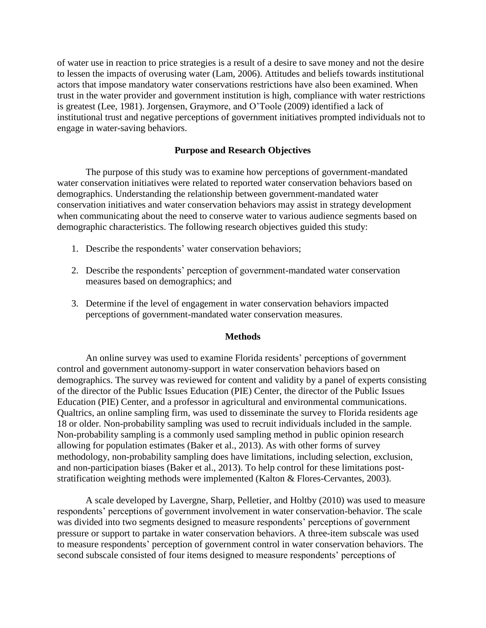of water use in reaction to price strategies is a result of a desire to save money and not the desire to lessen the impacts of overusing water (Lam, 2006). Attitudes and beliefs towards institutional actors that impose mandatory water conservations restrictions have also been examined. When trust in the water provider and government institution is high, compliance with water restrictions is greatest (Lee, 1981). Jorgensen, Graymore, and O'Toole (2009) identified a lack of institutional trust and negative perceptions of government initiatives prompted individuals not to engage in water-saving behaviors.

### **Purpose and Research Objectives**

The purpose of this study was to examine how perceptions of government-mandated water conservation initiatives were related to reported water conservation behaviors based on demographics. Understanding the relationship between government-mandated water conservation initiatives and water conservation behaviors may assist in strategy development when communicating about the need to conserve water to various audience segments based on demographic characteristics. The following research objectives guided this study:

- 1. Describe the respondents' water conservation behaviors;
- 2. Describe the respondents' perception of government-mandated water conservation measures based on demographics; and
- 3. Determine if the level of engagement in water conservation behaviors impacted perceptions of government-mandated water conservation measures.

## **Methods**

An online survey was used to examine Florida residents' perceptions of government control and government autonomy-support in water conservation behaviors based on demographics. The survey was reviewed for content and validity by a panel of experts consisting of the director of the Public Issues Education (PIE) Center, the director of the Public Issues Education (PIE) Center, and a professor in agricultural and environmental communications. Qualtrics, an online sampling firm, was used to disseminate the survey to Florida residents age 18 or older. Non-probability sampling was used to recruit individuals included in the sample. Non-probability sampling is a commonly used sampling method in public opinion research allowing for population estimates (Baker et al., 2013). As with other forms of survey methodology, non-probability sampling does have limitations, including selection, exclusion, and non-participation biases (Baker et al., 2013). To help control for these limitations poststratification weighting methods were implemented (Kalton & Flores-Cervantes, 2003).

A scale developed by Lavergne, Sharp, Pelletier, and Holtby (2010) was used to measure respondents' perceptions of government involvement in water conservation-behavior. The scale was divided into two segments designed to measure respondents' perceptions of government pressure or support to partake in water conservation behaviors. A three-item subscale was used to measure respondents' perception of government control in water conservation behaviors. The second subscale consisted of four items designed to measure respondents' perceptions of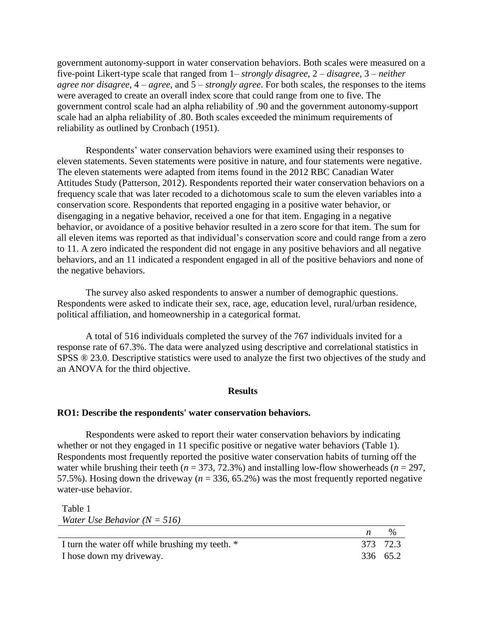government autonomy-support in water conservation behaviors. Both scales were measured on a five-point Likert-type scale that ranged from 1– *strongly disagree*, 2 – *disagree*, 3 – *neither agree nor disagree*, 4 – *agree*, and 5 – *strongly agree*. For both scales, the responses to the items were averaged to create an overall index score that could range from one to five. The government control scale had an alpha reliability of .90 and the government autonomy-support scale had an alpha reliability of .80. Both scales exceeded the minimum requirements of reliability as outlined by Cronbach (1951).

Respondents' water conservation behaviors were examined using their responses to eleven statements. Seven statements were positive in nature, and four statements were negative. The eleven statements were adapted from items found in the 2012 RBC Canadian Water Attitudes Study (Patterson, 2012). Respondents reported their water conservation behaviors on a frequency scale that was later recoded to a dichotomous scale to sum the eleven variables into a conservation score. Respondents that reported engaging in a positive water behavior, or disengaging in a negative behavior, received a one for that item. Engaging in a negative behavior, or avoidance of a positive behavior resulted in a zero score for that item. The sum for all eleven items was reported as that individual's conservation score and could range from a zero to 11. A zero indicated the respondent did not engage in any positive behaviors and all negative behaviors, and an 11 indicated a respondent engaged in all of the positive behaviors and none of the negative behaviors.

The survey also asked respondents to answer a number of demographic questions. Respondents were asked to indicate their sex, race, age, education level, rural/urban residence, political affiliation, and homeownership in a categorical format.

A total of 516 individuals completed the survey of the 767 individuals invited for a response rate of 67.3%. The data were analyzed using descriptive and correlational statistics in SPSS ® 23.0. Descriptive statistics were used to analyze the first two objectives of the study and an ANOVA for the third objective.

#### **Results**

### **RO1: Describe the respondents' water conservation behaviors.**

Respondents were asked to report their water conservation behaviors by indicating whether or not they engaged in 11 specific positive or negative water behaviors (Table 1). Respondents most frequently reported the positive water conservation habits of turning off the water while brushing their teeth ( $n = 373, 72.3\%$ ) and installing low-flow showerheads ( $n = 297$ , 57.5%). Hosing down the driveway (*n* = 336, 65.2%) was the most frequently reported negative water-use behavior.

| Table 1                          |                                 |  |
|----------------------------------|---------------------------------|--|
| Water Use Behavior ( $N = 516$ ) |                                 |  |
|                                  | the contract of the contract of |  |

| I turn the water off while brushing my teeth. * | 373 72.3 |
|-------------------------------------------------|----------|
| I hose down my driveway.                        | 336 65.2 |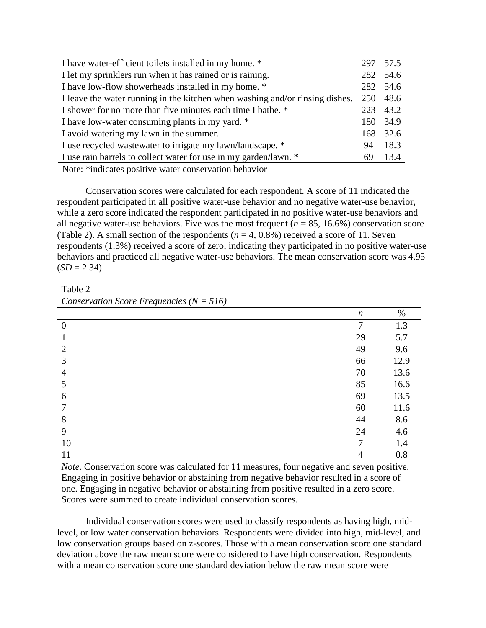| I have water-efficient toilets installed in my home. *                       |    | 297 57.5 |
|------------------------------------------------------------------------------|----|----------|
| I let my sprinklers run when it has rained or is raining.                    |    | 282 54.6 |
| I have low-flow showerheads installed in my home. *                          |    | 282 54.6 |
| I leave the water running in the kitchen when washing and/or rinsing dishes. |    | 250 48.6 |
| I shower for no more than five minutes each time I bathe. *                  |    | 223 43.2 |
| I have low-water consuming plants in my yard. *                              |    | 180 34.9 |
| I avoid watering my lawn in the summer.                                      |    | 168 32.6 |
| I use recycled was tewater to irrigate my lawn/landscape. *                  | 94 | 18.3     |
| I use rain barrels to collect water for use in my garden/lawn. *             | 69 | 13.4     |
|                                                                              |    |          |

Note: \*indicates positive water conservation behavior

Conservation scores were calculated for each respondent. A score of 11 indicated the respondent participated in all positive water-use behavior and no negative water-use behavior, while a zero score indicated the respondent participated in no positive water-use behaviors and all negative water-use behaviors. Five was the most frequent  $(n = 85, 16.6\%)$  conservation score (Table 2). A small section of the respondents  $(n = 4, 0.8\%)$  received a score of 11. Seven respondents (1.3%) received a score of zero, indicating they participated in no positive water-use behaviors and practiced all negative water-use behaviors. The mean conservation score was 4.95  $(SD = 2.34)$ .

Table 2 *Conservation Score Frequencies (N = 516)*

|                  | $\boldsymbol{n}$ | $\%$ |
|------------------|------------------|------|
| $\boldsymbol{0}$ | $\overline{7}$   | 1.3  |
|                  | 29               | 5.7  |
| $\overline{2}$   | 49               | 9.6  |
| 3                | 66               | 12.9 |
| 4                | 70               | 13.6 |
| 5                | 85               | 16.6 |
| 6                | 69               | 13.5 |
| 7                | 60               | 11.6 |
| 8                | 44               | 8.6  |
| 9                | 24               | 4.6  |
| 10               | 7                | 1.4  |
| 11               | $\overline{4}$   | 0.8  |

*Note.* Conservation score was calculated for 11 measures, four negative and seven positive. Engaging in positive behavior or abstaining from negative behavior resulted in a score of one. Engaging in negative behavior or abstaining from positive resulted in a zero score. Scores were summed to create individual conservation scores.

Individual conservation scores were used to classify respondents as having high, midlevel, or low water conservation behaviors. Respondents were divided into high, mid-level, and low conservation groups based on z-scores. Those with a mean conservation score one standard deviation above the raw mean score were considered to have high conservation. Respondents with a mean conservation score one standard deviation below the raw mean score were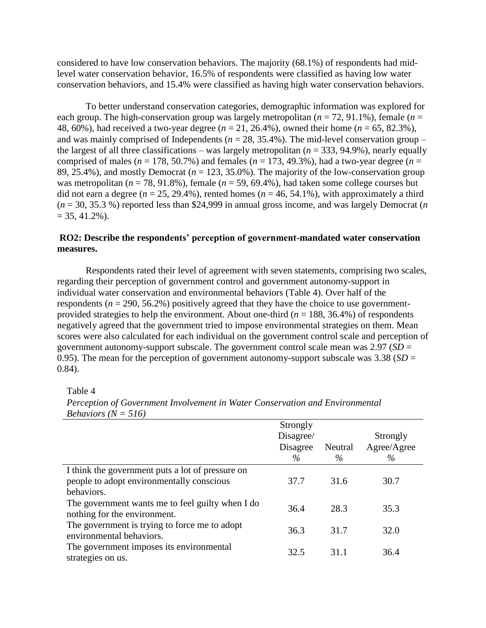considered to have low conservation behaviors. The majority (68.1%) of respondents had midlevel water conservation behavior, 16.5% of respondents were classified as having low water conservation behaviors, and 15.4% were classified as having high water conservation behaviors.

To better understand conservation categories, demographic information was explored for each group. The high-conservation group was largely metropolitan (*n* = 72, 91.1%), female (*n* = 48, 60%), had received a two-year degree (*n* = 21, 26.4%), owned their home (*n* = 65, 82.3%), and was mainly comprised of Independents ( $n = 28, 35.4\%$ ). The mid-level conservation group – the largest of all three classifications – was largely metropolitan ( $n = 333, 94.9\%$ ), nearly equally comprised of males ( $n = 178, 50.7\%$ ) and females ( $n = 173, 49.3\%$ ), had a two-year degree ( $n =$ 89, 25.4%), and mostly Democrat (*n* = 123, 35.0%). The majority of the low-conservation group was metropolitan ( $n = 78, 91.8\%$ ), female ( $n = 59, 69.4\%$ ), had taken some college courses but did not earn a degree ( $n = 25, 29.4\%$ ), rented homes ( $n = 46, 54.1\%$ ), with approximately a third (*n* = 30, 35.3 %) reported less than \$24,999 in annual gross income, and was largely Democrat (*n*  $= 35, 41.2\%$ ).

# **RO2: Describe the respondents' perception of government-mandated water conservation measures.**

Respondents rated their level of agreement with seven statements, comprising two scales, regarding their perception of government control and government autonomy-support in individual water conservation and environmental behaviors (Table 4). Over half of the respondents ( $n = 290, 56.2\%$ ) positively agreed that they have the choice to use governmentprovided strategies to help the environment. About one-third ( $n = 188, 36.4\%$ ) of respondents negatively agreed that the government tried to impose environmental strategies on them. Mean scores were also calculated for each individual on the government control scale and perception of government autonomy-support subscale. The government control scale mean was 2.97 (*SD* = 0.95). The mean for the perception of government autonomy-support subscale was  $3.38$  (*SD* = 0.84).

Table 4

| Strongly |                           | Strongly            |
|----------|---------------------------|---------------------|
| Disagree | Neutral                   | Agree/Agree<br>$\%$ |
|          |                           |                     |
|          |                           | 30.7                |
| 36.4     | 28.3                      | 35.3                |
| 36.3     | 31.7                      | 32.0                |
| 32.5     | 31.1                      | 36.4                |
|          | Disagree/<br>$\%$<br>37.7 | $\%$<br>31.6        |

*Perception of Government Involvement in Water Conservation and Environmental Behaviors (N = 516)*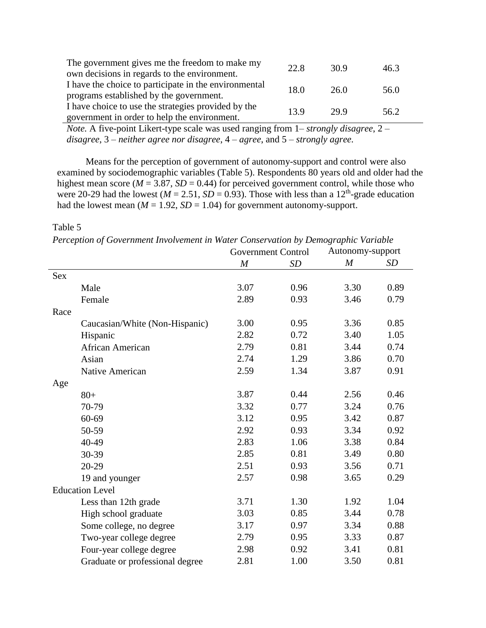| The government gives me the freedom to make my        | 22.8 | 30.9 | 46.3 |
|-------------------------------------------------------|------|------|------|
| own decisions in regards to the environment.          |      |      |      |
| I have the choice to participate in the environmental | 18.0 | 26.0 | 56.0 |
| programs established by the government.               |      |      |      |
| I have choice to use the strategies provided by the   | 13.9 | 29.9 | 56.2 |
| government in order to help the environment.          |      |      |      |

*Note.* A five-point Likert-type scale was used ranging from 1– *strongly disagree*, 2 – *disagree*, 3 – *neither agree nor disagree*, 4 – *agree*, and 5 – *strongly agree.*

Means for the perception of government of autonomy-support and control were also examined by sociodemographic variables (Table 5). Respondents 80 years old and older had the highest mean score ( $M = 3.87$ ,  $SD = 0.44$ ) for perceived government control, while those who were 20-29 had the lowest ( $M = 2.51$ ,  $SD = 0.93$ ). Those with less than a 12<sup>th</sup>-grade education had the lowest mean ( $M = 1.92$ ,  $SD = 1.04$ ) for government autonomy-support.

Table 5

*Perception of Government Involvement in Water Conservation by Demographic Variable*

|            |                                 | <b>Government Control</b> |           | Autonomy-support |           |
|------------|---------------------------------|---------------------------|-----------|------------------|-----------|
|            |                                 | $\boldsymbol{M}$          | <b>SD</b> | $\boldsymbol{M}$ | <b>SD</b> |
| <b>Sex</b> |                                 |                           |           |                  |           |
|            | Male                            | 3.07                      | 0.96      | 3.30             | 0.89      |
|            | Female                          | 2.89                      | 0.93      | 3.46             | 0.79      |
| Race       |                                 |                           |           |                  |           |
|            | Caucasian/White (Non-Hispanic)  | 3.00                      | 0.95      | 3.36             | 0.85      |
|            | Hispanic                        | 2.82                      | 0.72      | 3.40             | 1.05      |
|            | African American                | 2.79                      | 0.81      | 3.44             | 0.74      |
|            | Asian                           | 2.74                      | 1.29      | 3.86             | 0.70      |
|            | Native American                 | 2.59                      | 1.34      | 3.87             | 0.91      |
| Age        |                                 |                           |           |                  |           |
|            | $80+$                           | 3.87                      | 0.44      | 2.56             | 0.46      |
|            | 70-79                           | 3.32                      | 0.77      | 3.24             | 0.76      |
|            | 60-69                           | 3.12                      | 0.95      | 3.42             | 0.87      |
|            | 50-59                           | 2.92                      | 0.93      | 3.34             | 0.92      |
|            | 40-49                           | 2.83                      | 1.06      | 3.38             | 0.84      |
|            | 30-39                           | 2.85                      | 0.81      | 3.49             | 0.80      |
|            | 20-29                           | 2.51                      | 0.93      | 3.56             | 0.71      |
|            | 19 and younger                  | 2.57                      | 0.98      | 3.65             | 0.29      |
|            | <b>Education Level</b>          |                           |           |                  |           |
|            | Less than 12th grade            | 3.71                      | 1.30      | 1.92             | 1.04      |
|            | High school graduate            | 3.03                      | 0.85      | 3.44             | 0.78      |
|            | Some college, no degree         | 3.17                      | 0.97      | 3.34             | 0.88      |
|            | Two-year college degree         | 2.79                      | 0.95      | 3.33             | 0.87      |
|            | Four-year college degree        | 2.98                      | 0.92      | 3.41             | 0.81      |
|            | Graduate or professional degree | 2.81                      | 1.00      | 3.50             | 0.81      |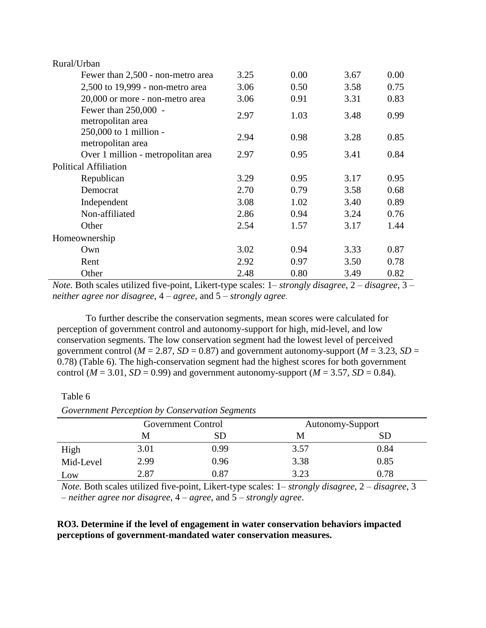| Rural/Urban                                 |      |      |      |      |
|---------------------------------------------|------|------|------|------|
| Fewer than 2,500 - non-metro area           | 3.25 | 0.00 | 3.67 | 0.00 |
| 2,500 to 19,999 - non-metro area            | 3.06 | 0.50 | 3.58 | 0.75 |
| 20,000 or more - non-metro area             | 3.06 | 0.91 | 3.31 | 0.83 |
| Fewer than 250,000 -<br>metropolitan area   | 2.97 | 1.03 | 3.48 | 0.99 |
| 250,000 to 1 million -<br>metropolitan area | 2.94 | 0.98 | 3.28 | 0.85 |
| Over 1 million - metropolitan area          | 2.97 | 0.95 | 3.41 | 0.84 |
| <b>Political Affiliation</b>                |      |      |      |      |
| Republican                                  | 3.29 | 0.95 | 3.17 | 0.95 |
| Democrat                                    | 2.70 | 0.79 | 3.58 | 0.68 |
| Independent                                 | 3.08 | 1.02 | 3.40 | 0.89 |
| Non-affiliated                              | 2.86 | 0.94 | 3.24 | 0.76 |
| Other                                       | 2.54 | 1.57 | 3.17 | 1.44 |
| Homeownership                               |      |      |      |      |
| Own                                         | 3.02 | 0.94 | 3.33 | 0.87 |
| Rent                                        | 2.92 | 0.97 | 3.50 | 0.78 |
| Other                                       | 2.48 | 0.80 | 3.49 | 0.82 |

*Note.* Both scales utilized five-point, Likert-type scales: 1– *strongly disagree*, 2 – *disagree*, 3 – *neither agree nor disagree*, 4 – *agree*, and 5 – *strongly agree*.

To further describe the conservation segments, mean scores were calculated for perception of government control and autonomy-support for high, mid-level, and low conservation segments. The low conservation segment had the lowest level of perceived government control ( $M = 2.87$ ,  $SD = 0.87$ ) and government autonomy-support ( $M = 3.23$ ,  $SD =$ 0.78) (Table 6). The high-conservation segment had the highest scores for both government control ( $M = 3.01$ ,  $SD = 0.99$ ) and government autonomy-support ( $M = 3.57$ ,  $SD = 0.84$ ).

#### Table 6

*Government Perception by Conservation Segments*

|           | Government Control |      |      | Autonomy-Support |
|-----------|--------------------|------|------|------------------|
|           | M                  | SD   | M    | SD               |
| High      | 3.01               | 0.99 | 3.57 | 0.84             |
| Mid-Level | 2.99               | 0.96 | 3.38 | 0.85             |
| Low       | 2.87               | 0.87 | 3.23 | 0.78             |

*Note.* Both scales utilized five-point, Likert-type scales: 1– *strongly disagree*, 2 – *disagree*, 3 – *neither agree nor disagree*, 4 – *agree*, and 5 – *strongly agree*.

## **RO3. Determine if the level of engagement in water conservation behaviors impacted perceptions of government-mandated water conservation measures.**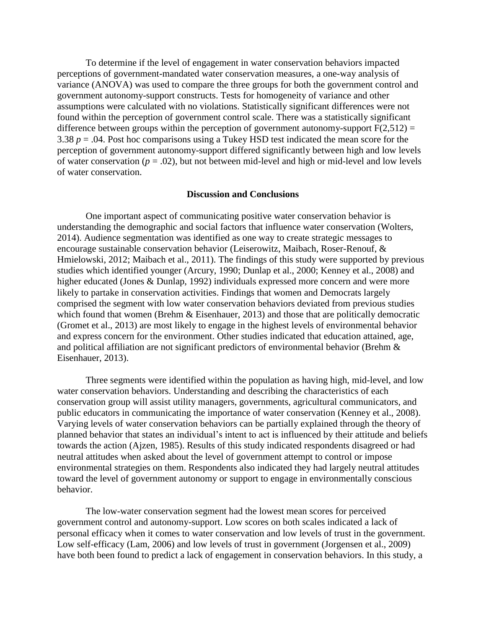To determine if the level of engagement in water conservation behaviors impacted perceptions of government-mandated water conservation measures, a one-way analysis of variance (ANOVA) was used to compare the three groups for both the government control and government autonomy-support constructs. Tests for homogeneity of variance and other assumptions were calculated with no violations. Statistically significant differences were not found within the perception of government control scale. There was a statistically significant difference between groups within the perception of government autonomy-support  $F(2,512) =$ 3.38  $p = 0.04$ . Post hoc comparisons using a Tukey HSD test indicated the mean score for the perception of government autonomy-support differed significantly between high and low levels of water conservation ( $p = .02$ ), but not between mid-level and high or mid-level and low levels of water conservation.

#### **Discussion and Conclusions**

One important aspect of communicating positive water conservation behavior is understanding the demographic and social factors that influence water conservation (Wolters, 2014). Audience segmentation was identified as one way to create strategic messages to encourage sustainable conservation behavior (Leiserowitz, Maibach, Roser-Renouf, & Hmielowski, 2012; Maibach et al., 2011). The findings of this study were supported by previous studies which identified younger (Arcury, 1990; Dunlap et al., 2000; Kenney et al., 2008) and higher educated (Jones & Dunlap, 1992) individuals expressed more concern and were more likely to partake in conservation activities. Findings that women and Democrats largely comprised the segment with low water conservation behaviors deviated from previous studies which found that women (Brehm & Eisenhauer, 2013) and those that are politically democratic (Gromet et al., 2013) are most likely to engage in the highest levels of environmental behavior and express concern for the environment. Other studies indicated that education attained, age, and political affiliation are not significant predictors of environmental behavior (Brehm & Eisenhauer, 2013).

Three segments were identified within the population as having high, mid-level, and low water conservation behaviors. Understanding and describing the characteristics of each conservation group will assist utility managers, governments, agricultural communicators, and public educators in communicating the importance of water conservation (Kenney et al., 2008). Varying levels of water conservation behaviors can be partially explained through the theory of planned behavior that states an individual's intent to act is influenced by their attitude and beliefs towards the action (Ajzen, 1985). Results of this study indicated respondents disagreed or had neutral attitudes when asked about the level of government attempt to control or impose environmental strategies on them. Respondents also indicated they had largely neutral attitudes toward the level of government autonomy or support to engage in environmentally conscious behavior.

The low-water conservation segment had the lowest mean scores for perceived government control and autonomy-support. Low scores on both scales indicated a lack of personal efficacy when it comes to water conservation and low levels of trust in the government. Low self-efficacy (Lam, 2006) and low levels of trust in government (Jorgensen et al., 2009) have both been found to predict a lack of engagement in conservation behaviors. In this study, a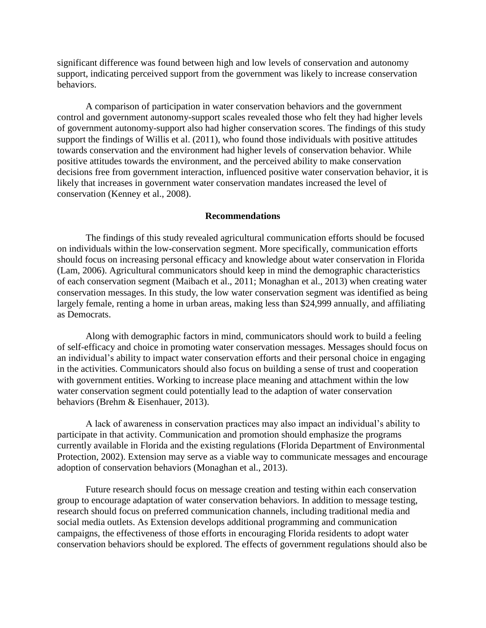significant difference was found between high and low levels of conservation and autonomy support, indicating perceived support from the government was likely to increase conservation behaviors.

A comparison of participation in water conservation behaviors and the government control and government autonomy-support scales revealed those who felt they had higher levels of government autonomy-support also had higher conservation scores. The findings of this study support the findings of Willis et al. (2011), who found those individuals with positive attitudes towards conservation and the environment had higher levels of conservation behavior. While positive attitudes towards the environment, and the perceived ability to make conservation decisions free from government interaction, influenced positive water conservation behavior, it is likely that increases in government water conservation mandates increased the level of conservation (Kenney et al., 2008).

#### **Recommendations**

The findings of this study revealed agricultural communication efforts should be focused on individuals within the low-conservation segment. More specifically, communication efforts should focus on increasing personal efficacy and knowledge about water conservation in Florida (Lam, 2006). Agricultural communicators should keep in mind the demographic characteristics of each conservation segment (Maibach et al., 2011; Monaghan et al., 2013) when creating water conservation messages. In this study, the low water conservation segment was identified as being largely female, renting a home in urban areas, making less than \$24,999 annually, and affiliating as Democrats.

Along with demographic factors in mind, communicators should work to build a feeling of self-efficacy and choice in promoting water conservation messages. Messages should focus on an individual's ability to impact water conservation efforts and their personal choice in engaging in the activities. Communicators should also focus on building a sense of trust and cooperation with government entities. Working to increase place meaning and attachment within the low water conservation segment could potentially lead to the adaption of water conservation behaviors (Brehm & Eisenhauer, 2013).

A lack of awareness in conservation practices may also impact an individual's ability to participate in that activity. Communication and promotion should emphasize the programs currently available in Florida and the existing regulations (Florida Department of Environmental Protection, 2002). Extension may serve as a viable way to communicate messages and encourage adoption of conservation behaviors (Monaghan et al., 2013).

Future research should focus on message creation and testing within each conservation group to encourage adaptation of water conservation behaviors. In addition to message testing, research should focus on preferred communication channels, including traditional media and social media outlets. As Extension develops additional programming and communication campaigns, the effectiveness of those efforts in encouraging Florida residents to adopt water conservation behaviors should be explored. The effects of government regulations should also be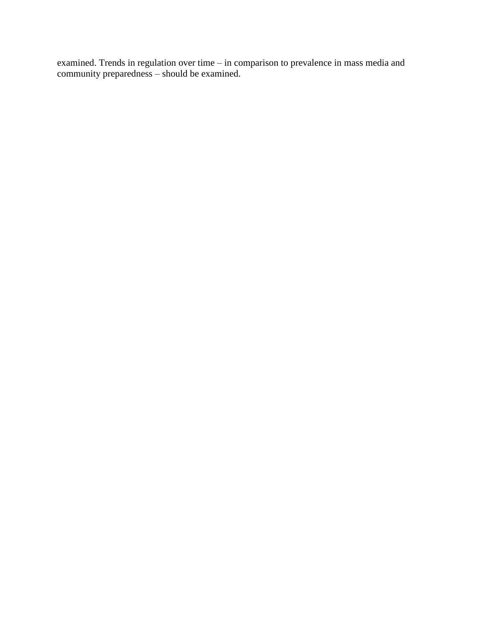examined. Trends in regulation over time – in comparison to prevalence in mass media and community preparedness – should be examined.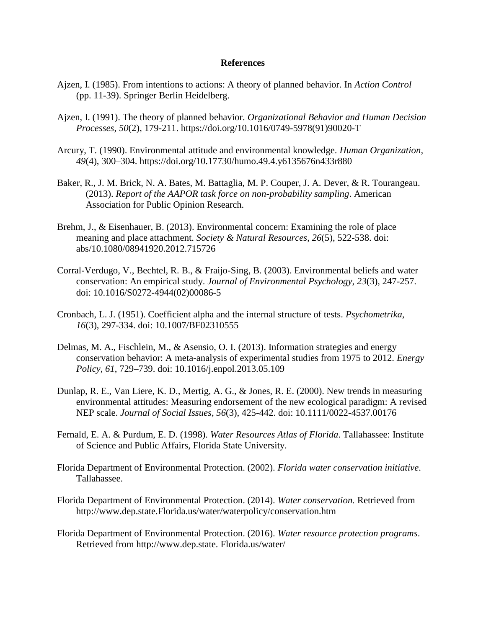#### **References**

- Ajzen, I. (1985). From intentions to actions: A theory of planned behavior. In *Action Control* (pp. 11-39). Springer Berlin Heidelberg.
- Ajzen, I. (1991). The theory of planned behavior. *Organizational Behavior and Human Decision Processes*, *50*(2), 179-211. https://doi.org/10.1016/0749-5978(91)90020-T
- Arcury, T. (1990). Environmental attitude and environmental knowledge. *Human Organization*, *49*(4), 300–304. https://doi.org/10.17730/humo.49.4.y6135676n433r880
- Baker, R., J. M. Brick, N. A. Bates, M. Battaglia, M. P. Couper, J. A. Dever, & R. Tourangeau. (2013). *Report of the AAPOR task force on non-probability sampling*. American Association for Public Opinion Research.
- Brehm, J., & Eisenhauer, B. (2013). Environmental concern: Examining the role of place meaning and place attachment. *Society & Natural Resources*, *26*(5), 522-538. doi: abs/10.1080/08941920.2012.715726
- Corral-Verdugo, V., Bechtel, R. B., & Fraijo-Sing, B. (2003). Environmental beliefs and water conservation: An empirical study. *Journal of Environmental Psychology*, *23*(3), 247-257. doi: 10.1016/S0272-4944(02)00086-5
- Cronbach, L. J. (1951). Coefficient alpha and the internal structure of tests. *Psychometrika*, *16*(3), 297-334. doi: 10.1007/BF02310555
- Delmas, M. A., Fischlein, M., & Asensio, O. I. (2013). Information strategies and energy conservation behavior: A meta-analysis of experimental studies from 1975 to 2012. *Energy Policy*, *61*, 729–739. doi: 10.1016/j.enpol.2013.05.109
- Dunlap, R. E., Van Liere, K. D., Mertig, A. G., & Jones, R. E. (2000). New trends in measuring environmental attitudes: Measuring endorsement of the new ecological paradigm: A revised NEP scale. *Journal of Social Issues*, *56*(3), 425-442. doi: 10.1111/0022-4537.00176
- Fernald, E. A. & Purdum, E. D. (1998). *Water Resources Atlas of Florida*. Tallahassee: Institute of Science and Public Affairs, Florida State University.
- Florida Department of Environmental Protection. (2002). *Florida water conservation initiative*. Tallahassee.
- Florida Department of Environmental Protection. (2014). *Water conservation.* Retrieved from http://www.dep.state.Florida.us/water/waterpolicy/conservation.htm
- Florida Department of Environmental Protection. (2016). *Water resource protection programs*. Retrieved from http://www.dep.state. Florida.us/water/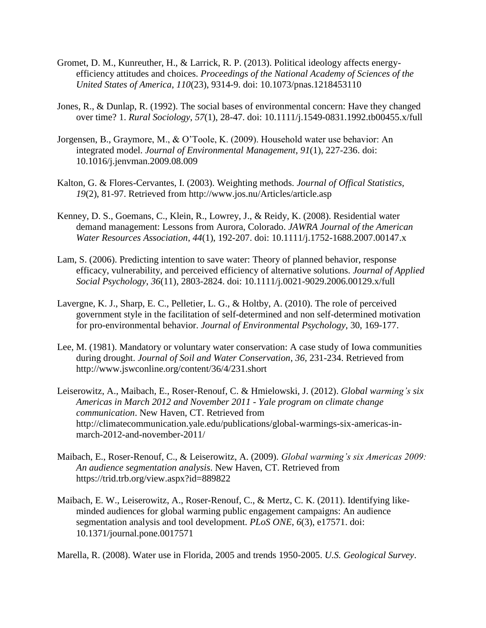- Gromet, D. M., Kunreuther, H., & Larrick, R. P. (2013). Political ideology affects energyefficiency attitudes and choices. *Proceedings of the National Academy of Sciences of the United States of America*, *110*(23), 9314-9. doi: 10.1073/pnas.1218453110
- Jones, R., & Dunlap, R. (1992). The social bases of environmental concern: Have they changed over time? 1. *Rural Sociology*, *57*(1), 28-47. doi: 10.1111/j.1549-0831.1992.tb00455.x/full
- Jorgensen, B., Graymore, M., & O'Toole, K. (2009). Household water use behavior: An integrated model. *Journal of Environmental Management*, *91*(1), 227-236. doi: 10.1016/j.jenvman.2009.08.009
- Kalton, G. & Flores-Cervantes, I. (2003). Weighting methods. *Journal of Offical Statistics, 19*(2), 81-97. Retrieved from http://www.jos.nu/Articles/article.asp
- Kenney, D. S., Goemans, C., Klein, R., Lowrey, J., & Reidy, K. (2008). Residential water demand management: Lessons from Aurora, Colorado. *JAWRA Journal of the American Water Resources Association*, *44*(1), 192-207. doi: 10.1111/j.1752-1688.2007.00147.x
- Lam, S. (2006). Predicting intention to save water: Theory of planned behavior, response efficacy, vulnerability, and perceived efficiency of alternative solutions. *Journal of Applied Social Psychology*, *36*(11), 2803-2824. doi: 10.1111/j.0021-9029.2006.00129.x/full
- Lavergne, K. J., Sharp, E. C., Pelletier, L. G., & Holtby, A. (2010). The role of perceived government style in the facilitation of self-determined and non self-determined motivation for pro-environmental behavior. *Journal of Environmental Psychology*, 30, 169-177.
- Lee, M. (1981). Mandatory or voluntary water conservation: A case study of Iowa communities during drought. *Journal of Soil and Water Conservation*, *36*, 231-234. Retrieved from http://www.jswconline.org/content/36/4/231.short
- Leiserowitz, A., Maibach, E., Roser-Renouf, C. & Hmielowski, J. (2012). *Global warming's six Americas in March 2012 and November 2011 - Yale program on climate change communication*. New Haven, CT. Retrieved from http://climatecommunication.yale.edu/publications/global-warmings-six-americas-inmarch-2012-and-november-2011/
- Maibach, E., Roser-Renouf, C., & Leiserowitz, A. (2009). *Global warming's six Americas 2009: An audience segmentation analysis*. New Haven, CT. Retrieved from https://trid.trb.org/view.aspx?id=889822
- Maibach, E. W., Leiserowitz, A., Roser-Renouf, C., & Mertz, C. K. (2011). Identifying likeminded audiences for global warming public engagement campaigns: An audience segmentation analysis and tool development. *PLoS ONE*, *6*(3), e17571. doi: 10.1371/journal.pone.0017571

Marella, R. (2008). Water use in Florida, 2005 and trends 1950-2005. *U.S. Geological Survey*.